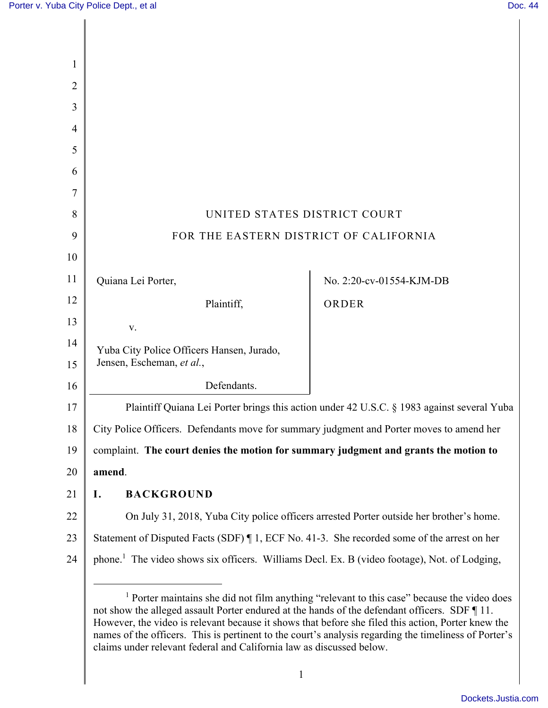| $\mathbf{1}$   |                                                                                                          |                          |
|----------------|----------------------------------------------------------------------------------------------------------|--------------------------|
| $\overline{2}$ |                                                                                                          |                          |
| 3              |                                                                                                          |                          |
| 4              |                                                                                                          |                          |
| 5              |                                                                                                          |                          |
| 6              |                                                                                                          |                          |
| 7              |                                                                                                          |                          |
| 8              | UNITED STATES DISTRICT COURT                                                                             |                          |
| 9              | FOR THE EASTERN DISTRICT OF CALIFORNIA                                                                   |                          |
| 10             |                                                                                                          |                          |
| 11             | Quiana Lei Porter,                                                                                       | No. 2:20-cv-01554-KJM-DB |
| 12             | Plaintiff,                                                                                               | ORDER                    |
| 13             | V.                                                                                                       |                          |
| 14<br>15       | Yuba City Police Officers Hansen, Jurado,<br>Jensen, Escheman, et al.,                                   |                          |
| 16             | Defendants.                                                                                              |                          |
| 17             | Plaintiff Quiana Lei Porter brings this action under 42 U.S.C. § 1983 against several Yuba               |                          |
| 18             | City Police Officers. Defendants move for summary judgment and Porter moves to amend her                 |                          |
| 19             | complaint. The court denies the motion for summary judgment and grants the motion to                     |                          |
| 20             | amend.                                                                                                   |                          |
| 21             | <b>BACKGROUND</b><br>I.                                                                                  |                          |
| 22             | On July 31, 2018, Yuba City police officers arrested Porter outside her brother's home.                  |                          |
| 23             | Statement of Disputed Facts (SDF) ¶ 1, ECF No. 41-3. She recorded some of the arrest on her              |                          |
| 24             | phone. <sup>1</sup> The video shows six officers. Williams Decl. Ex. B (video footage), Not. of Lodging, |                          |
|                |                                                                                                          |                          |

<sup>&</sup>lt;sup>1</sup> Porter maintains she did not film anything "relevant to this case" because the video does not show the alleged assault Porter endured at the hands of the defendant officers. SDF ¶ 11. However, the video is relevant because it shows that before she filed this action, Porter knew the names of the officers. This is pertinent to the court's analysis regarding the timeliness of Porter's claims under relevant federal and California law as discussed below.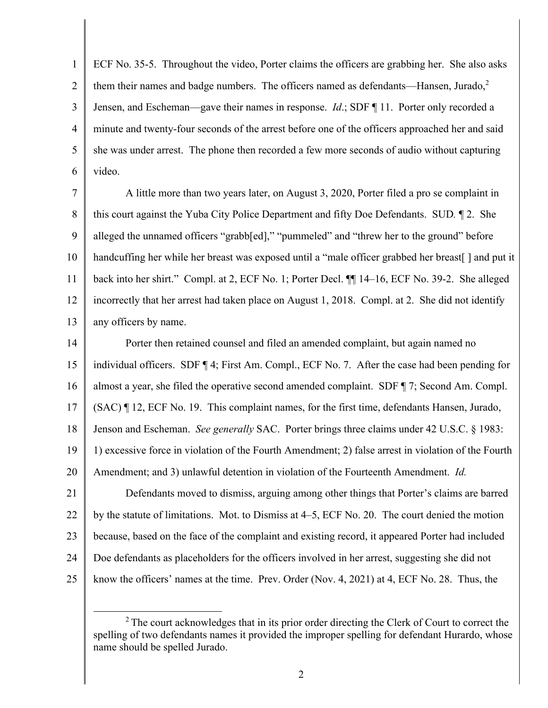1 ECF No. 35-5. Throughout the video, Porter claims the officers are grabbing her. She also asks 2 them their names and badge numbers. The officers named as defendants—Hansen, Jurado, $2$ 3 Jensen, and Escheman—gave their names in response. *Id*.; SDF ¶ 11. Porter only recorded a 4 minute and twenty-four seconds of the arrest before one of the officers approached her and said she was under arrest. The phone then recorded a few more seconds of audio without capturing 5 6 video.

7 A little more than two years later, on August 3, 2020, Porter filed a pro se complaint in 8 this court against the Yuba City Police Department and fifty Doe Defendants. SUD*.* ¶ 2. She 9 alleged the unnamed officers "grabb[ed]," "pummeled" and "threw her to the ground" before 10 handcuffing her while her breast was exposed until a "male officer grabbed her breast[ ] and put it 11 back into her shirt." Compl. at 2, ECF No. 1; Porter Decl. ¶¶ 14–16, ECF No. 39-2. She alleged 12 incorrectly that her arrest had taken place on August 1, 2018. Compl. at 2. She did not identify 13 any officers by name.

14 **Porter then retained counsel and filed an amended complaint, but again named no** 15 individual officers. SDF ¶ 4; First Am. Compl., ECF No. 7. After the case had been pending for 16 almost a year, she filed the operative second amended complaint. SDF ¶ 7; Second Am. Compl. 17 (SAC) ¶ 12, ECF No. 19. This complaint names, for the first time, defendants Hansen, Jurado, 18 Jenson and Escheman. *See generally* SAC. Porter brings three claims under 42 U.S.C. § 1983: 19 1) excessive force in violation of the Fourth Amendment; 2) false arrest in violation of the Fourth Amendment; and 3) unlawful detention in violation of the Fourteenth Amendment. *Id.* 20

21 Defendants moved to dismiss, arguing among other things that Porter's claims are barred 22 by the statute of limitations. Mot. to Dismiss at 4–5, ECF No. 20. The court denied the motion 23 because, based on the face of the complaint and existing record, it appeared Porter had included 24 Doe defendants as placeholders for the officers involved in her arrest, suggesting she did not 25 know the officers' names at the time. Prev. Order (Nov. 4, 2021) at 4, ECF No. 28. Thus, the

 $2$ <sup>2</sup> The court acknowledges that in its prior order directing the Clerk of Court to correct the spelling of two defendants names it provided the improper spelling for defendant Hurardo, whose name should be spelled Jurado.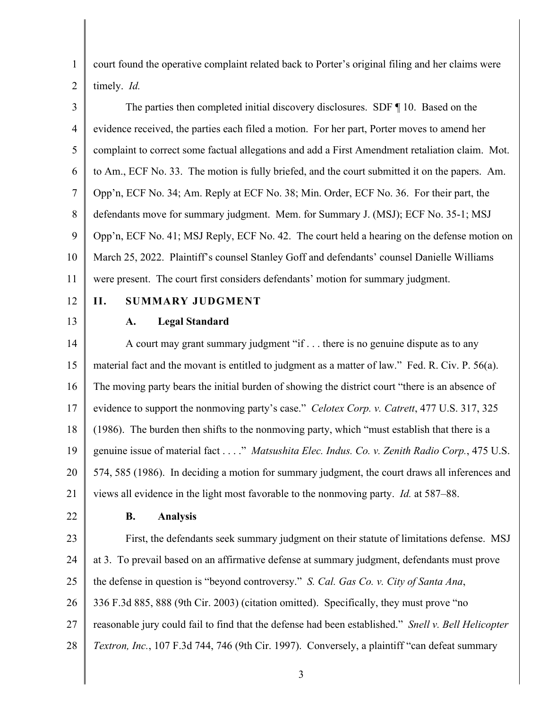1 court found the operative complaint related back to Porter's original filing and her claims were 2 timely. *Id.* 

3 The parties then completed initial discovery disclosures. SDF ¶ 10. Based on the 4 evidence received, the parties each filed a motion. For her part, Porter moves to amend her 5 complaint to correct some factual allegations and add a First Amendment retaliation claim. Mot. 6 to Am., ECF No. 33. The motion is fully briefed, and the court submitted it on the papers. Am. 7 Opp'n, ECF No. 34; Am. Reply at ECF No. 38; Min. Order, ECF No. 36. For their part, the 8 defendants move for summary judgment. Mem. for Summary J. (MSJ); ECF No. 35-1; MSJ 9 Opp'n, ECF No. 41; MSJ Reply, ECF No. 42. The court held a hearing on the defense motion on 10 March 25, 2022. Plaintiff's counsel Stanley Goff and defendants' counsel Danielle Williams 11 were present. The court first considers defendants' motion for summary judgment.

## 12 **II. SUMMARY JUDGMENT**

## 13 **A. Legal Standard**

14 A court may grant summary judgment "if . . . there is no genuine dispute as to any 15 material fact and the movant is entitled to judgment as a matter of law." Fed. R. Civ. P. 56(a). 16 The moving party bears the initial burden of showing the district court "there is an absence of 17 evidence to support the nonmoving party's case." *Celotex Corp. v. Catrett*, 477 U.S. 317, 325 18 (1986). The burden then shifts to the nonmoving party, which "must establish that there is a 19 genuine issue of material fact . . . ." *Matsushita Elec. Indus. Co. v. Zenith Radio Corp.*, 475 U.S. 20 574, 585 (1986). In deciding a motion for summary judgment, the court draws all inferences and 21 views all evidence in the light most favorable to the nonmoving party. *Id.* at 587–88.

## 22 **B. Analysis**

23 First, the defendants seek summary judgment on their statute of limitations defense. MSJ 24 at 3. To prevail based on an affirmative defense at summary judgment, defendants must prove 25 the defense in question is "beyond controversy." *S. Cal. Gas Co. v. City of Santa Ana*, 26 336 F.3d 885, 888 (9th Cir. 2003) (citation omitted). Specifically, they must prove "no 27 reasonable jury could fail to find that the defense had been established." *Snell v. Bell Helicopter*  28 *Textron, Inc.*, 107 F.3d 744, 746 (9th Cir. 1997). Conversely, a plaintiff "can defeat summary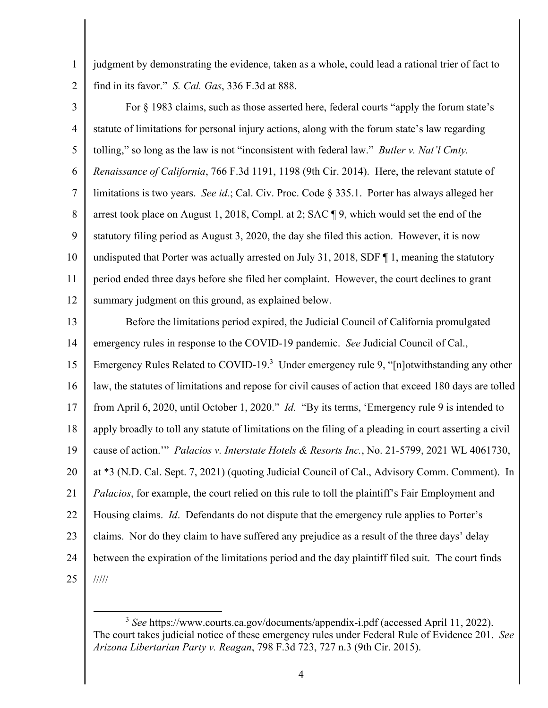1 judgment by demonstrating the evidence, taken as a whole, could lead a rational trier of fact to 2 find in its favor." *S. Cal. Gas*, 336 F.3d at 888.

3 For § 1983 claims, such as those asserted here, federal courts "apply the forum state's 4 statute of limitations for personal injury actions, along with the forum state's law regarding 5 tolling," so long as the law is not "inconsistent with federal law." *Butler v. Nat'l Cmty.*  6 *Renaissance of California*, 766 F.3d 1191, 1198 (9th Cir. 2014). Here, the relevant statute of 7 limitations is two years. *See id.*; Cal. Civ. Proc. Code § 335.1. Porter has always alleged her 8 arrest took place on August 1, 2018, Compl. at 2; SAC ¶ 9, which would set the end of the 9 statutory filing period as August 3, 2020, the day she filed this action. However, it is now 10 undisputed that Porter was actually arrested on July 31, 2018, SDF ¶ 1, meaning the statutory 11 period ended three days before she filed her complaint. However, the court declines to grant 12 summary judgment on this ground, as explained below.

13 Before the limitations period expired, the Judicial Council of California promulgated 14 emergency rules in response to the COVID-19 pandemic. *See* Judicial Council of Cal., 15 Emergency Rules Related to COVID-19.<sup>3</sup> Under emergency rule 9, "[n]otwithstanding any other 16 aw, the statutes of limitations and repose for civil causes of action that exceed 180 days are tolled 17 from April 6, 2020, until October 1, 2020." *Id.* "By its terms, 'Emergency rule 9 is intended to 18 apply broadly to toll any statute of limitations on the filing of a pleading in court asserting a civil cause of action.'" *Palacios v. Interstate Hotels & Resorts Inc.*, No. 21-5799, 2021 WL 4061730, 19 20 at \*3 (N.D. Cal. Sept. 7, 2021) (quoting Judicial Council of Cal., Advisory Comm. Comment). In 21 *Palacios*, for example, the court relied on this rule to toll the plaintiff's Fair Employment and 22 Housing claims. *Id*. Defendants do not dispute that the emergency rule applies to Porter's 23 claims. Nor do they claim to have suffered any prejudice as a result of the three days' delay 24 between the expiration of the limitations period and the day plaintiff filed suit. The court finds 25 /////

<sup>3</sup> *See* https://www.courts.ca.gov/documents/appendix-i.pdf (accessed April 11, 2022). The court takes judicial notice of these emergency rules under Federal Rule of Evidence 201. *See Arizona Libertarian Party v. Reagan*, 798 F.3d 723, 727 n.3 (9th Cir. 2015).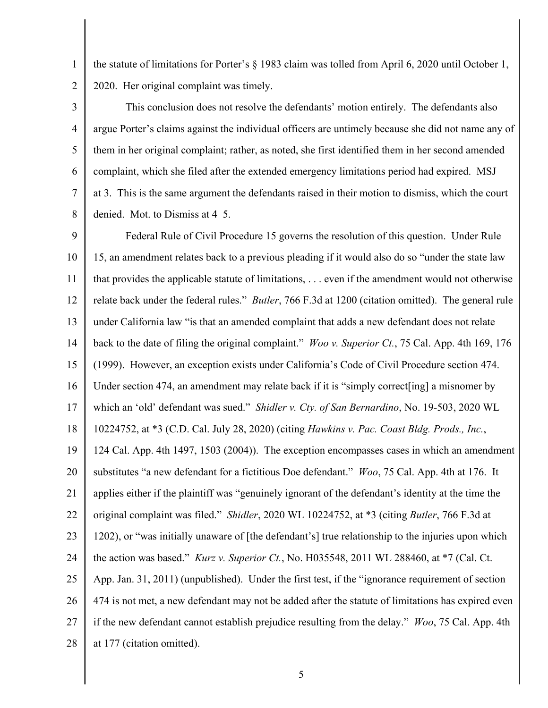1 the statute of limitations for Porter's § 1983 claim was tolled from April 6, 2020 until October 1, 2 2020. Her original complaint was timely.

This conclusion does not resolve the defendants' motion entirely. The defendants also 4 argue Porter's claims against the individual officers are untimely because she did not name any of 5 them in her original complaint; rather, as noted, she first identified them in her second amended 6 complaint, which she filed after the extended emergency limitations period had expired. MSJ 7 at 3. This is the same argument the defendants raised in their motion to dismiss, which the court 8 denied. Mot. to Dismiss at 4–5.

9 Federal Rule of Civil Procedure 15 governs the resolution of this question. Under Rule 15, an amendment relates back to a previous pleading if it would also do so "under the state law 10 11 that provides the applicable statute of limitations, . . . even if the amendment would not otherwise 12 relate back under the federal rules." *Butler*, 766 F.3d at 1200 (citation omitted). The general rule 13 under California law "is that an amended complaint that adds a new defendant does not relate 14 back to the date of filing the original complaint." *Woo v. Superior Ct.*, 75 Cal. App. 4th 169, 176 (1999). However, an exception exists under California's Code of Civil Procedure section 474. 15 16 Under section 474, an amendment may relate back if it is "simply correct[ing] a misnomer by which an 'old' defendant was sued." *Shidler v. Cty. of San Bernardino*, No. 19-503, 2020 WL 17 10224752, at \*3 (C.D. Cal. July 28, 2020) (citing *Hawkins v. Pac. Coast Bldg. Prods., Inc.*, 18 19 124 Cal. App. 4th 1497, 1503 (2004)). The exception encompasses cases in which an amendment 20 substitutes "a new defendant for a fictitious Doe defendant." *Woo*, 75 Cal. App. 4th at 176. It 21 applies either if the plaintiff was "genuinely ignorant of the defendant's identity at the time the 22 original complaint was filed." *Shidler*, 2020 WL 10224752, at \*3 (citing *Butler*, 766 F.3d at 23 1202), or "was initially unaware of [the defendant's] true relationship to the injuries upon which the action was based." *Kurz v. Superior Ct.*, No. H035548, 2011 WL 288460, at \*7 (Cal. Ct. 24 App. Jan. 31, 2011) (unpublished). Under the first test, if the "ignorance requirement of section 25 26 474 is not met, a new defendant may not be added after the statute of limitations has expired even 27 if the new defendant cannot establish prejudice resulting from the delay." *Woo*, 75 Cal. App. 4th 28 at 177 (citation omitted).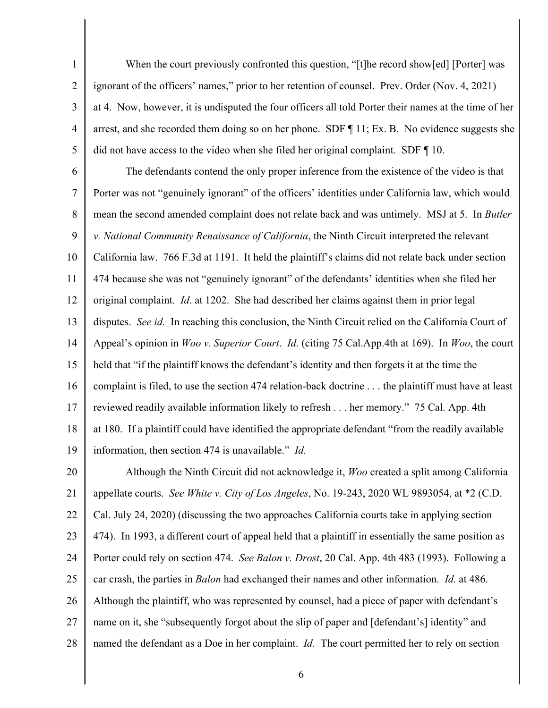1 When the court previously confronted this question, "[t]he record show[ed] [Porter] was 2 ignorant of the officers' names," prior to her retention of counsel. Prev. Order (Nov. 4, 2021) 3 at 4. Now, however, it is undisputed the four officers all told Porter their names at the time of her 4 arrest, and she recorded them doing so on her phone. SDF ¶ 11; Ex. B. No evidence suggests she 5 did not have access to the video when she filed her original complaint. SDF ¶ 10.

6 The defendants contend the only proper inference from the existence of the video is that 7 Porter was not "genuinely ignorant" of the officers' identities under California law, which would 8 mean the second amended complaint does not relate back and was untimely. MSJ at 5. In *Butler*  9 *v. National Community Renaissance of California*, the Ninth Circuit interpreted the relevant 10 California law. 766 F.3d at 1191. It held the plaintiff's claims did not relate back under section 11 474 because she was not "genuinely ignorant" of the defendants' identities when she filed her 12 original complaint. *Id*. at 1202. She had described her claims against them in prior legal 13 disputes. *See id.* In reaching this conclusion, the Ninth Circuit relied on the California Court of 14 Appeal's opinion in *Woo v. Superior Court*. *Id.* (citing 75 Cal.App.4th at 169). In *Woo*, the court 15 held that "if the plaintiff knows the defendant's identity and then forgets it at the time the 16 complaint is filed, to use the section 474 relation-back doctrine . . . the plaintiff must have at least 17 reviewed readily available information likely to refresh . . . her memory." 75 Cal. App. 4th 18 at 180. If a plaintiff could have identified the appropriate defendant "from the readily available 19 information, then section 474 is unavailable." *Id.* 

20 Although the Ninth Circuit did not acknowledge it, *Woo* created a split among California 21 appellate courts. *See White v. City of Los Angeles*, No. 19-243, 2020 WL 9893054, at \*2 (C.D. 22 Cal. July 24, 2020) (discussing the two approaches California courts take in applying section 23 474). In 1993, a different court of appeal held that a plaintiff in essentially the same position as 24 Porter could rely on section 474. *See Balon v. Drost*, 20 Cal. App. 4th 483 (1993). Following a 25 car crash, the parties in *Balon* had exchanged their names and other information. *Id.* at 486. 26 Although the plaintiff, who was represented by counsel, had a piece of paper with defendant's 27 name on it, she "subsequently forgot about the slip of paper and [defendant's] identity" and 28 named the defendant as a Doe in her complaint. *Id.* The court permitted her to rely on section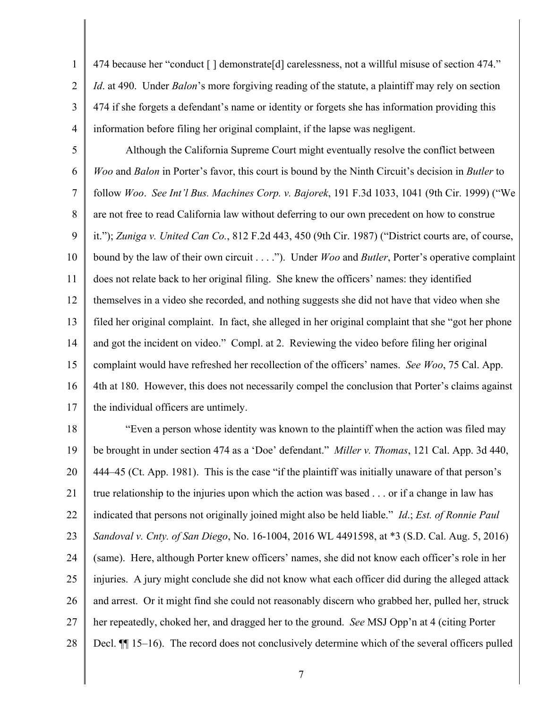1 474 because her "conduct [ ] demonstrate[d] carelessness, not a willful misuse of section 474." 2 *Id*. at 490. Under *Balon*'s more forgiving reading of the statute, a plaintiff may rely on section 3 474 if she forgets a defendant's name or identity or forgets she has information providing this 4 information before filing her original complaint, if the lapse was negligent.

5 Although the California Supreme Court might eventually resolve the conflict between 6 *Woo* and *Balon* in Porter's favor, this court is bound by the Ninth Circuit's decision in *Butler* to 7 follow *Woo*. *See Int'l Bus. Machines Corp. v. Bajorek*, 191 F.3d 1033, 1041 (9th Cir. 1999) ("We 8 are not free to read California law without deferring to our own precedent on how to construe 9 it."); *Zuniga v. United Can Co.*, 812 F.2d 443, 450 (9th Cir. 1987) ("District courts are, of course, 10 bound by the law of their own circuit . . . ."). Under *Woo* and *Butler*, Porter's operative complaint 11 does not relate back to her original filing. She knew the officers' names: they identified 12 themselves in a video she recorded, and nothing suggests she did not have that video when she 13 filed her original complaint. In fact, she alleged in her original complaint that she "got her phone 14 and got the incident on video." Compl. at 2. Reviewing the video before filing her original 15 complaint would have refreshed her recollection of the officers' names. *See Woo*, 75 Cal. App. 16 4th at 180. However, this does not necessarily compel the conclusion that Porter's claims against 17 the individual officers are untimely.

18 "Even a person whose identity was known to the plaintiff when the action was filed may be brought in under section 474 as a 'Doe' defendant." *Miller v. Thomas*, 121 Cal. App. 3d 440, 19 20 444–45 (Ct. App. 1981). This is the case "if the plaintiff was initially unaware of that person's 21 true relationship to the injuries upon which the action was based . . . or if a change in law has 22 indicated that persons not originally joined might also be held liable." *Id*.; *Est. of Ronnie Paul*  23 *Sandoval v. Cnty. of San Diego*, No. 16-1004, 2016 WL 4491598, at \*3 (S.D. Cal. Aug. 5, 2016) 24 (same). Here, although Porter knew officers' names, she did not know each officer's role in her 25 injuries. A jury might conclude she did not know what each officer did during the alleged attack 26 and arrest. Or it might find she could not reasonably discern who grabbed her, pulled her, struck 27 her repeatedly, choked her, and dragged her to the ground. *See* MSJ Opp'n at 4 (citing Porter 28 Decl. II 15–16). The record does not conclusively determine which of the several officers pulled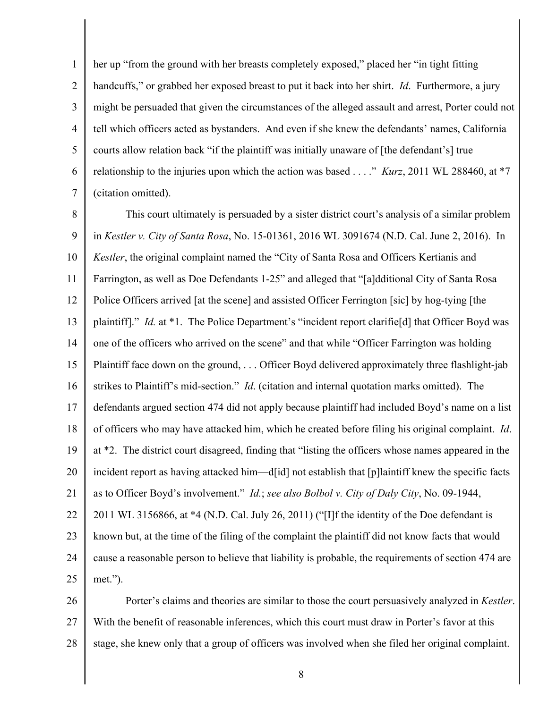1 her up "from the ground with her breasts completely exposed," placed her "in tight fitting 2 handcuffs," or grabbed her exposed breast to put it back into her shirt. *Id*. Furthermore, a jury 3 might be persuaded that given the circumstances of the alleged assault and arrest, Porter could not 4 tell which officers acted as bystanders. And even if she knew the defendants' names, California courts allow relation back "if the plaintiff was initially unaware of [the defendant's] true 5 6 relationship to the injuries upon which the action was based . . . ." *Kurz*, 2011 WL 288460, at \*7 7 (citation omitted).

8 This court ultimately is persuaded by a sister district court's analysis of a similar problem 9 in *Kestler v. City of Santa Rosa*, No. 15-01361, 2016 WL 3091674 (N.D. Cal. June 2, 2016). In 10 *Kestler*, the original complaint named the "City of Santa Rosa and Officers Kertianis and 11 Farrington, as well as Doe Defendants 1-25" and alleged that "[a]dditional City of Santa Rosa 12 Police Officers arrived [at the scene] and assisted Officer Ferrington [sic] by hog-tying [the 13 plaintiff]." *Id.* at \*1. The Police Department's "incident report clarifie[d] that Officer Boyd was 14 one of the officers who arrived on the scene" and that while "Officer Farrington was holding 15 Plaintiff face down on the ground, . . . Officer Boyd delivered approximately three flashlight-jab 16 strikes to Plaintiff's mid-section." *Id.* (citation and internal quotation marks omitted). The 17 defendants argued section 474 did not apply because plaintiff had included Boyd's name on a list 18 of officers who may have attacked him, which he created before filing his original complaint. *Id*. 19 at \*2. The district court disagreed, finding that "listing the officers whose names appeared in the 20 incident report as having attacked him—d[id] not establish that [p] laintiff knew the specific facts 21 as to Officer Boyd's involvement." *Id.*; *see also Bolbol v. City of Daly City*, No. 09-1944, 22 | 2011 WL 3156866, at \*4 (N.D. Cal. July 26, 2011) ("[I]f the identity of the Doe defendant is 23 known but, at the time of the filing of the complaint the plaintiff did not know facts that would 24 cause a reasonable person to believe that liability is probable, the requirements of section 474 are 25 met.").

Porter's claims and theories are similar to those the court persuasively analyzed in *Kestler*. 26 27 With the benefit of reasonable inferences, which this court must draw in Porter's favor at this 28 stage, she knew only that a group of officers was involved when she filed her original complaint.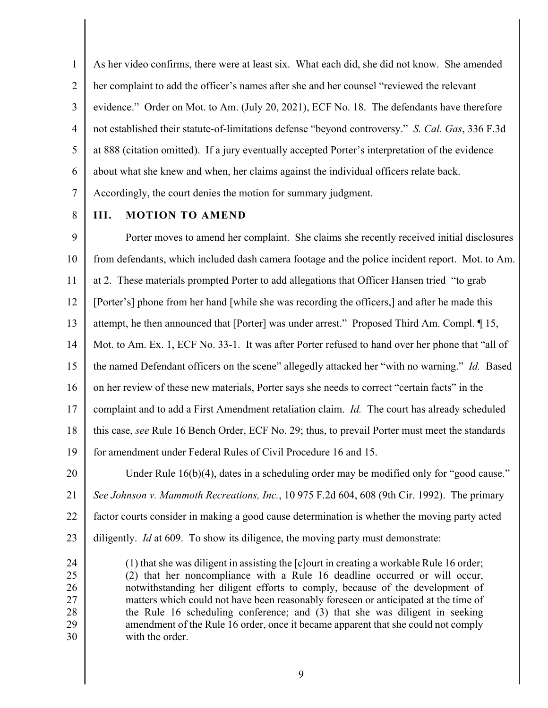1 As her video confirms, there were at least six. What each did, she did not know. She amended 2 her complaint to add the officer's names after she and her counsel "reviewed the relevant" 3 evidence." Order on Mot. to Am. (July 20, 2021), ECF No. 18. The defendants have therefore 4 not established their statute-of-limitations defense "beyond controversy." *S. Cal. Gas*, 336 F.3d 5 at 888 (citation omitted). If a jury eventually accepted Porter's interpretation of the evidence 6 about what she knew and when, her claims against the individual officers relate back. 7 Accordingly, the court denies the motion for summary judgment.

## 8 **III. MOTION TO AMEND**

9 Porter moves to amend her complaint. She claims she recently received initial disclosures 10 from defendants, which included dash camera footage and the police incident report. Mot. to Am. 11 at 2. These materials prompted Porter to add allegations that Officer Hansen tried "to grab 12 [Porter's] phone from her hand [while she was recording the officers,] and after he made this 13 attempt, he then announced that [Porter] was under arrest." Proposed Third Am. Compl. 15, 14 Mot. to Am. Ex. 1, ECF No. 33-1. It was after Porter refused to hand over her phone that "all of 15 the named Defendant officers on the scene" allegedly attacked her "with no warning." *Id.* Based 16 on her review of these new materials, Porter says she needs to correct "certain facts" in the 17 complaint and to add a First Amendment retaliation claim. *Id.* The court has already scheduled 18 this case, *see* Rule 16 Bench Order, ECF No. 29; thus, to prevail Porter must meet the standards 19 for amendment under Federal Rules of Civil Procedure 16 and 15. 20 Under Rule 16(b)(4), dates in a scheduling order may be modified only for "good cause." 21 *See Johnson v. Mammoth Recreations, Inc.*, 10 975 F.2d 604, 608 (9th Cir. 1992). The primary 22 factor courts consider in making a good cause determination is whether the moving party acted 23 diligently. *Id* at 609. To show its diligence, the moving party must demonstrate:

24 (1) that she was diligent in assisting the [c]ourt in creating a workable Rule 16 order; 25 (2) that her noncompliance with a Rule 16 deadline occurred or will occur, 26 notwithstanding her diligent efforts to comply, because of the development of 27 matters which could not have been reasonably foreseen or anticipated at the time of 28 the Rule 16 scheduling conference; and (3) that she was diligent in seeking 29 amendment of the Rule 16 order, once it became apparent that she could not comply 30 with the order.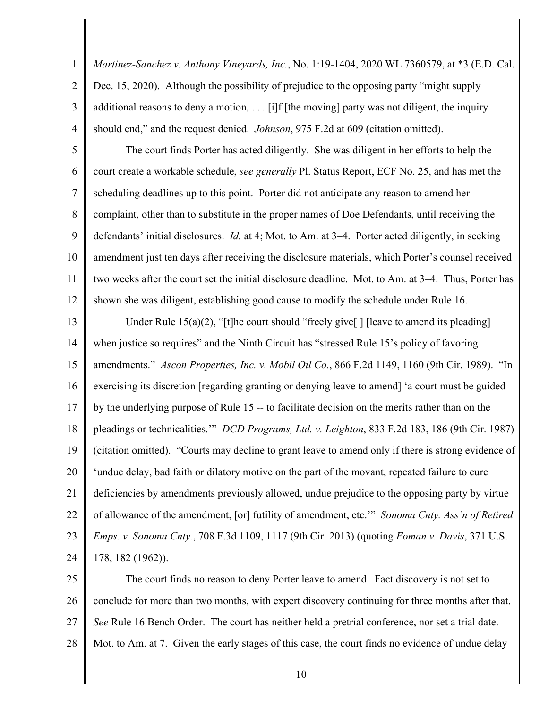1 *Martinez-Sanchez v. Anthony Vineyards, Inc.*, No. 1:19-1404, 2020 WL 7360579, at \*3 (E.D. Cal. 2 Dec. 15, 2020). Although the possibility of prejudice to the opposing party "might supply  $3$  additional reasons to deny a motion, ... [i]f [the moving] party was not diligent, the inquiry 4 should end," and the request denied. *Johnson*, 975 F.2d at 609 (citation omitted).

5 The court finds Porter has acted diligently. She was diligent in her efforts to help the 6 court create a workable schedule, *see generally* Pl. Status Report, ECF No. 25, and has met the 7 scheduling deadlines up to this point. Porter did not anticipate any reason to amend her 8 complaint, other than to substitute in the proper names of Doe Defendants, until receiving the 9 defendants' initial disclosures. *Id.* at 4; Mot. to Am. at 3–4. Porter acted diligently, in seeking 10 amendment just ten days after receiving the disclosure materials, which Porter's counsel received 11 two weeks after the court set the initial disclosure deadline. Mot. to Am. at 3–4. Thus, Porter has 12 shown she was diligent, establishing good cause to modify the schedule under Rule 16.

13 Under Rule 15(a)(2), "[t]he court should "freely give" | [leave to amend its pleading] 14 when justice so requires" and the Ninth Circuit has "stressed Rule 15's policy of favoring 15 amendments." *Ascon Properties, Inc. v. Mobil Oil Co.*, 866 F.2d 1149, 1160 (9th Cir. 1989). "In 16 exercising its discretion [regarding granting or denying leave to amend] 'a court must be guided 17 by the underlying purpose of Rule 15 -- to facilitate decision on the merits rather than on the 18 pleadings or technicalities.'" *DCD Programs, Ltd. v. Leighton*, 833 F.2d 183, 186 (9th Cir. 1987) 19 (citation omitted). "Courts may decline to grant leave to amend only if there is strong evidence of 20 \, 'undue delay, bad faith or dilatory motive on the part of the movant, repeated failure to cure 21 deficiencies by amendments previously allowed, undue prejudice to the opposing party by virtue 22 of allowance of the amendment, [or] futility of amendment, etc.'" *Sonoma Cnty. Ass'n of Retired*  23 *Emps. v. Sonoma Cnty.*, 708 F.3d 1109, 1117 (9th Cir. 2013) (quoting *Foman v. Davis*, 371 U.S. 24 178, 182 (1962)).

25 The court finds no reason to deny Porter leave to amend. Fact discovery is not set to 26 conclude for more than two months, with expert discovery continuing for three months after that. 27 *See* Rule 16 Bench Order. The court has neither held a pretrial conference, nor set a trial date. 28 Mot. to Am. at 7. Given the early stages of this case, the court finds no evidence of undue delay